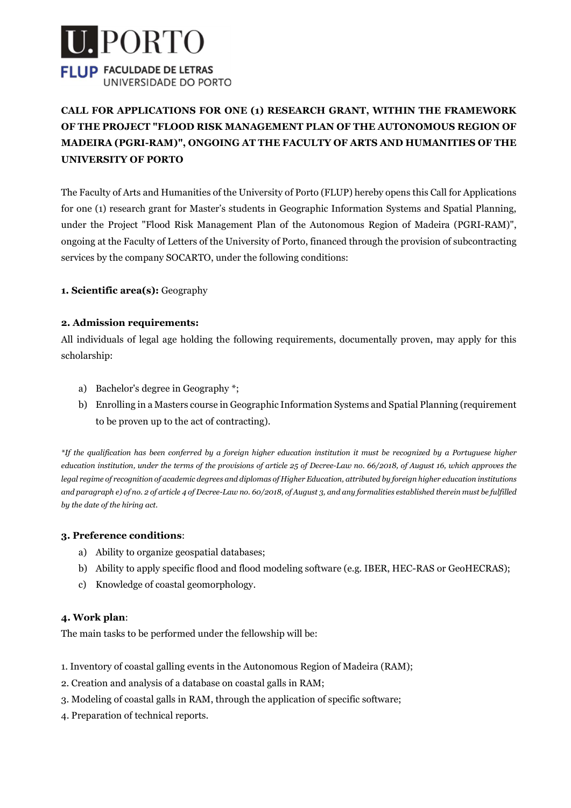

# CALL FOR APPLICATIONS FOR ONE (1) RESEARCH GRANT, WITHIN THE FRAMEWORK OF THE PROJECT "FLOOD RISK MANAGEMENT PLAN OF THE AUTONOMOUS REGION OF MADEIRA (PGRI-RAM)", ONGOING AT THE FACULTY OF ARTS AND HUMANITIES OF THE UNIVERSITY OF PORTO

The Faculty of Arts and Humanities of the University of Porto (FLUP) hereby opens this Call for Applications for one (1) research grant for Master's students in Geographic Information Systems and Spatial Planning, under the Project "Flood Risk Management Plan of the Autonomous Region of Madeira (PGRI-RAM)", ongoing at the Faculty of Letters of the University of Porto, financed through the provision of subcontracting services by the company SOCARTO, under the following conditions:

1. Scientific area(s): Geography

#### 2. Admission requirements:

All individuals of legal age holding the following requirements, documentally proven, may apply for this scholarship:

- a) Bachelor's degree in Geography \*;
- b) Enrolling in a Masters course in Geographic Information Systems and Spatial Planning (requirement to be proven up to the act of contracting).

\*If the qualification has been conferred by a foreign higher education institution it must be recognized by a Portuguese higher education institution, under the terms of the provisions of article 25 of Decree-Law no. 66/2018, of August 16, which approves the legal regime of recognition of academic degrees and diplomas of Higher Education, attributed by foreign higher education institutions and paragraph e) of no. 2 of article 4 of Decree-Law no. 60/2018, of August 3, and any formalities established therein must be fulfilled by the date of the hiring act.

#### 3. Preference conditions:

- a) Ability to organize geospatial databases;
- b) Ability to apply specific flood and flood modeling software (e.g. IBER, HEC-RAS or GeoHECRAS);
- c) Knowledge of coastal geomorphology.

#### 4. Work plan:

The main tasks to be performed under the fellowship will be:

- 1. Inventory of coastal galling events in the Autonomous Region of Madeira (RAM);
- 2. Creation and analysis of a database on coastal galls in RAM;
- 3. Modeling of coastal galls in RAM, through the application of specific software;
- 4. Preparation of technical reports.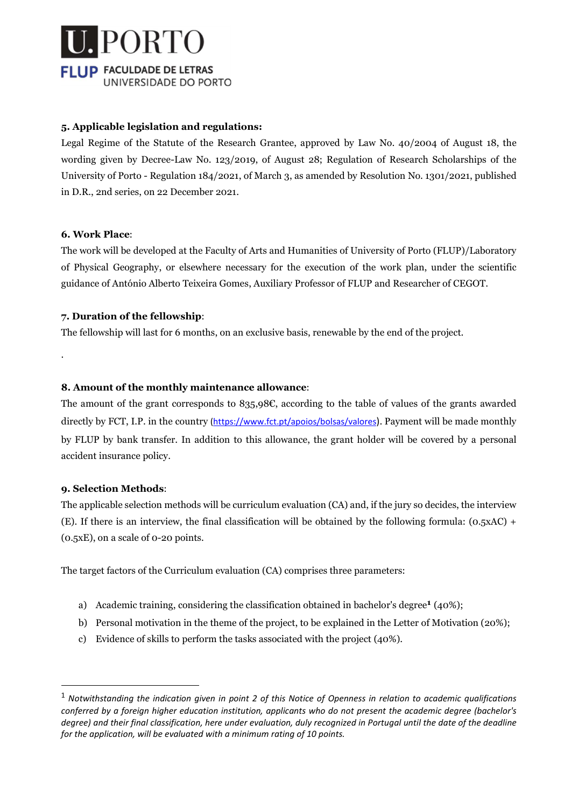

#### 5. Applicable legislation and regulations:

Legal Regime of the Statute of the Research Grantee, approved by Law No. 40/2004 of August 18, the wording given by Decree-Law No. 123/2019, of August 28; Regulation of Research Scholarships of the University of Porto - Regulation 184/2021, of March 3, as amended by Resolution No. 1301/2021, published in D.R., 2nd series, on 22 December 2021.

#### 6. Work Place:

.

The work will be developed at the Faculty of Arts and Humanities of University of Porto (FLUP)/Laboratory of Physical Geography, or elsewhere necessary for the execution of the work plan, under the scientific guidance of António Alberto Teixeira Gomes, Auxiliary Professor of FLUP and Researcher of CEGOT.

#### 7. Duration of the fellowship:

The fellowship will last for 6 months, on an exclusive basis, renewable by the end of the project.

#### 8. Amount of the monthly maintenance allowance:

The amount of the grant corresponds to 835,98€, according to the table of values of the grants awarded directly by FCT, I.P. in the country (https://www.fct.pt/apoios/bolsas/valores). Payment will be made monthly by FLUP by bank transfer. In addition to this allowance, the grant holder will be covered by a personal accident insurance policy.

#### 9. Selection Methods:

The applicable selection methods will be curriculum evaluation (CA) and, if the jury so decides, the interview (E). If there is an interview, the final classification will be obtained by the following formula: (0.5xAC) + (0.5xE), on a scale of 0-20 points.

The target factors of the Curriculum evaluation (CA) comprises three parameters:

- a) Academic training, considering the classification obtained in bachelor's degree<sup>1</sup> (40%);
- b) Personal motivation in the theme of the project, to be explained in the Letter of Motivation (20%);
- c) Evidence of skills to perform the tasks associated with the project (40%).

 $1$  Notwithstanding the indication given in point 2 of this Notice of Openness in relation to academic qualifications conferred by a foreign higher education institution, applicants who do not present the academic degree (bachelor's degree) and their final classification, here under evaluation, duly recognized in Portugal until the date of the deadline for the application, will be evaluated with a minimum rating of 10 points.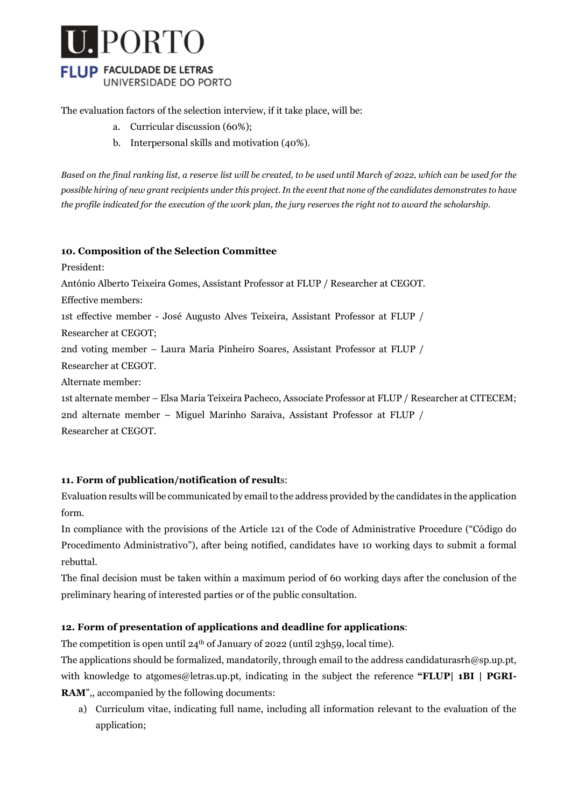

The evaluation factors of the selection interview, if it take place, will be:

- a. Curricular discussion (60%);
- b. Interpersonal skills and motivation (40%).

Based on the final ranking list, a reserve list will be created, to be used until March of 2022, which can be used for the possible hiring of new grant recipients under this project. In the event that none of the candidates demonstrates to have the profile indicated for the execution of the work plan, the jury reserves the right not to award the scholarship.

#### 10. Composition of the Selection Committee

President:

António Alberto Teixeira Gomes, Assistant Professor at FLUP / Researcher at CEGOT.

Effective members:

1st effective member - José Augusto Alves Teixeira, Assistant Professor at FLUP /

Researcher at CEGOT;

2nd voting member – Laura Maria Pinheiro Soares, Assistant Professor at FLUP /

Researcher at CEGOT.

Alternate member:

1st alternate member – Elsa Maria Teixeira Pacheco, Associate Professor at FLUP / Researcher at CITECEM;

2nd alternate member – Miguel Marinho Saraiva, Assistant Professor at FLUP /

Researcher at CEGOT.

#### 11. Form of publication/notification of results:

Evaluation results will be communicated by email to the address provided by the candidates in the application form.

In compliance with the provisions of the Article 121 of the Code of Administrative Procedure ("Código do Procedimento Administrativo"), after being notified, candidates have 10 working days to submit a formal rebuttal.

The final decision must be taken within a maximum period of 60 working days after the conclusion of the preliminary hearing of interested parties or of the public consultation.

#### 12. Form of presentation of applications and deadline for applications:

The competition is open until 24th of January of 2022 (until 23h59, local time).

The applications should be formalized, mandatorily, through email to the address candidaturasrh@sp.up.pt, with knowledge to atgomes@letras.up.pt, indicating in the subject the reference "FLUP| 1BI | PGRI-RAM",, accompanied by the following documents:

a) Curriculum vitae, indicating full name, including all information relevant to the evaluation of the application;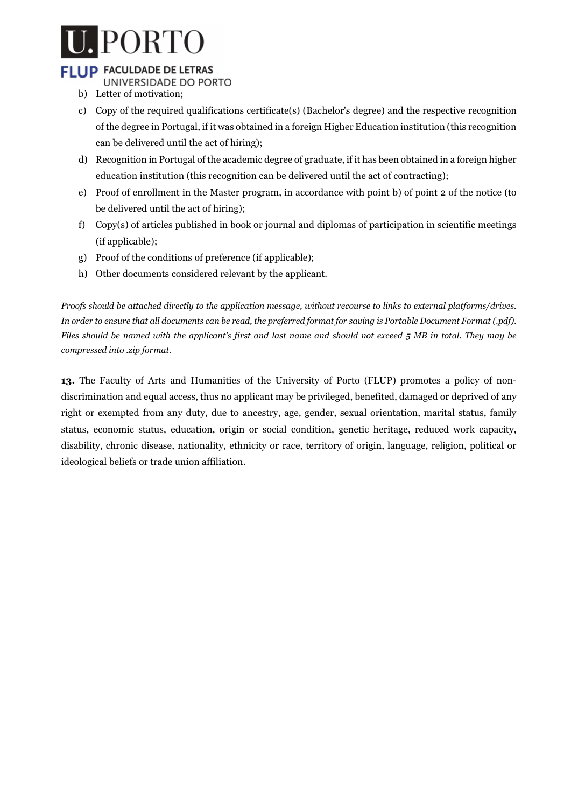# PORTO

# **FLUP FACULDADE DE LETRAS**

- UNIVERSIDADE DO PORTO
- b) Letter of motivation;
- c) Copy of the required qualifications certificate(s) (Bachelor's degree) and the respective recognition of the degree in Portugal, if it was obtained in a foreign Higher Education institution (this recognition can be delivered until the act of hiring);
- d) Recognition in Portugal of the academic degree of graduate, if it has been obtained in a foreign higher education institution (this recognition can be delivered until the act of contracting);
- e) Proof of enrollment in the Master program, in accordance with point b) of point 2 of the notice (to be delivered until the act of hiring);
- f) Copy(s) of articles published in book or journal and diplomas of participation in scientific meetings (if applicable);
- g) Proof of the conditions of preference (if applicable);
- h) Other documents considered relevant by the applicant.

Proofs should be attached directly to the application message, without recourse to links to external platforms/drives. In order to ensure that all documents can be read, the preferred format for saving is Portable Document Format (.pdf). Files should be named with the applicant's first and last name and should not exceed 5 MB in total. They may be compressed into .zip format.

13. The Faculty of Arts and Humanities of the University of Porto (FLUP) promotes a policy of nondiscrimination and equal access, thus no applicant may be privileged, benefited, damaged or deprived of any right or exempted from any duty, due to ancestry, age, gender, sexual orientation, marital status, family status, economic status, education, origin or social condition, genetic heritage, reduced work capacity, disability, chronic disease, nationality, ethnicity or race, territory of origin, language, religion, political or ideological beliefs or trade union affiliation.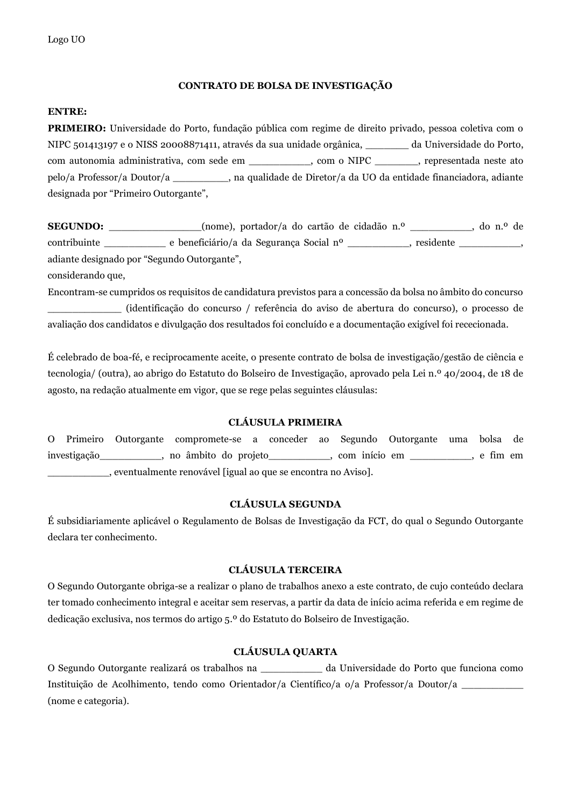#### **CONTRATO DE BOLSA DE INVESTIGAÇÃO**

#### **ENTRE:**

**PRIMEIRO:** Universidade do Porto, fundação pública com regime de direito privado, pessoa coletiva com o NIPC 501413197 e o NISS 20008871411, através da sua unidade orgânica, \_\_\_\_\_\_\_ da Universidade do Porto, com autonomia administrativa, com sede em \_\_\_\_\_\_\_\_\_\_, com o NIPC \_\_\_\_\_\_\_, representada neste ato pelo/a Professor/a Doutor/a \_\_\_\_\_\_\_\_\_, na qualidade de Diretor/a da UO da entidade financiadora, adiante designada por "Primeiro Outorgante",

**SEGUNDO:** (nome), portador/a do cartão de cidadão n.º , do n.º de contribuinte \_\_\_\_\_\_\_\_\_\_ e beneficiário/a da Segurança Social nº \_\_\_\_\_\_\_\_\_\_, residente \_\_\_\_\_\_\_\_\_\_, adiante designado por "Segundo Outorgante",

considerando que,

Encontram-se cumpridos os requisitos de candidatura previstos para a concessão da bolsa no âmbito do concurso \_\_\_\_\_\_\_\_\_\_\_\_ (identificação do concurso / referência do aviso de abertura do concurso), o processo de avaliação dos candidatos e divulgação dos resultados foi concluído e a documentação exigível foi rececionada.

É celebrado de boa-fé, e reciprocamente aceite, o presente contrato de bolsa de investigação/gestão de ciência e tecnologia/ (outra), ao abrigo do Estatuto do Bolseiro de Investigação, aprovado pela Lei n.º 40/2004, de 18 de agosto, na redação atualmente em vigor, que se rege pelas seguintes cláusulas:

#### **CLÁUSULA PRIMEIRA**

O Primeiro Outorgante compromete-se a conceder ao Segundo Outorgante uma bolsa de investigação\_\_\_\_\_\_\_\_\_\_, no âmbito do projeto\_\_\_\_\_\_\_\_\_\_, com início em \_\_\_\_\_\_\_\_\_\_, e fim em \_\_\_\_\_\_\_\_\_\_, eventualmente renovável [igual ao que se encontra no Aviso].

#### **CLÁUSULA SEGUNDA**

É subsidiariamente aplicável o Regulamento de Bolsas de Investigação da FCT, do qual o Segundo Outorgante declara ter conhecimento.

#### **CLÁUSULA TERCEIRA**

O Segundo Outorgante obriga-se a realizar o plano de trabalhos anexo a este contrato, de cujo conteúdo declara ter tomado conhecimento integral e aceitar sem reservas, a partir da data de início acima referida e em regime de dedicação exclusiva, nos termos do artigo 5.º do Estatuto do Bolseiro de Investigação.

#### **CLÁUSULA QUARTA**

O Segundo Outorgante realizará os trabalhos na \_\_\_\_\_\_\_\_\_\_ da Universidade do Porto que funciona como Instituição de Acolhimento, tendo como Orientador/a Científico/a o/a Professor/a Doutor/a \_\_\_\_\_\_\_\_\_\_ (nome e categoria).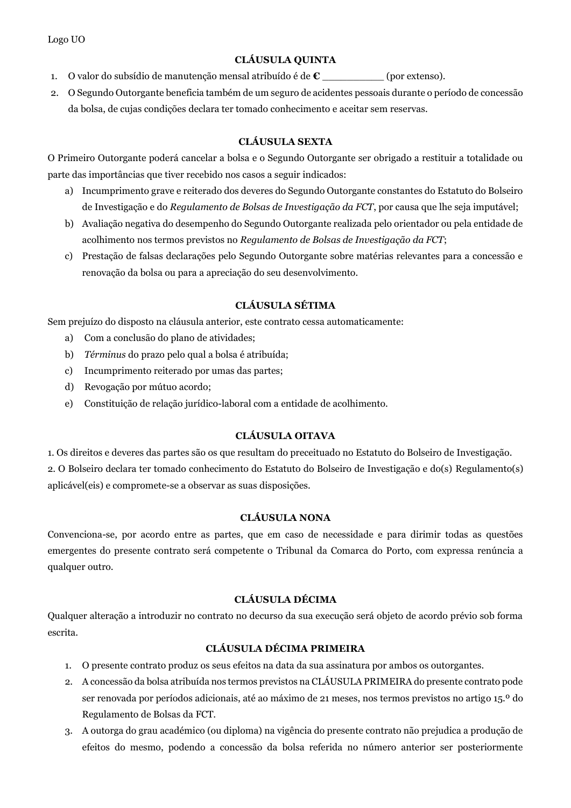Logo UO

#### **CLÁUSULA QUINTA**

- 1. O valor do subsídio de manutenção mensal atribuído é de **€** \_\_\_\_\_\_\_\_\_\_ (por extenso).
- 2. O Segundo Outorgante beneficia também de um seguro de acidentes pessoais durante o período de concessão da bolsa, de cujas condições declara ter tomado conhecimento e aceitar sem reservas.

#### **CLÁUSULA SEXTA**

O Primeiro Outorgante poderá cancelar a bolsa e o Segundo Outorgante ser obrigado a restituir a totalidade ou parte das importâncias que tiver recebido nos casos a seguir indicados:

- a) Incumprimento grave e reiterado dos deveres do Segundo Outorgante constantes do Estatuto do Bolseiro de Investigação e do *Regulamento de Bolsas de Investigação da FCT*, por causa que lhe seja imputável;
- b) Avaliação negativa do desempenho do Segundo Outorgante realizada pelo orientador ou pela entidade de acolhimento nos termos previstos no *Regulamento de Bolsas de Investigação da FCT*;
- c) Prestação de falsas declarações pelo Segundo Outorgante sobre matérias relevantes para a concessão e renovação da bolsa ou para a apreciação do seu desenvolvimento.

#### **CLÁUSULA SÉTIMA**

Sem prejuízo do disposto na cláusula anterior, este contrato cessa automaticamente:

- a) Com a conclusão do plano de atividades;
- b) *Términus* do prazo pelo qual a bolsa é atribuída;
- c) Incumprimento reiterado por umas das partes;
- d) Revogação por mútuo acordo;
- e) Constituição de relação jurídico-laboral com a entidade de acolhimento.

#### **CLÁUSULA OITAVA**

1. Os direitos e deveres das partes são os que resultam do preceituado no Estatuto do Bolseiro de Investigação. 2. O Bolseiro declara ter tomado conhecimento do Estatuto do Bolseiro de Investigação e do(s) Regulamento(s) aplicável(eis) e compromete-se a observar as suas disposições.

#### **CLÁUSULA NONA**

Convenciona-se, por acordo entre as partes, que em caso de necessidade e para dirimir todas as questões emergentes do presente contrato será competente o Tribunal da Comarca do Porto, com expressa renúncia a qualquer outro.

#### **CLÁUSULA DÉCIMA**

Qualquer alteração a introduzir no contrato no decurso da sua execução será objeto de acordo prévio sob forma escrita.

#### **CLÁUSULA DÉCIMA PRIMEIRA**

- 1. O presente contrato produz os seus efeitos na data da sua assinatura por ambos os outorgantes.
- 2. A concessão da bolsa atribuída nos termos previstos na CLÁUSULA PRIMEIRA do presente contrato pode ser renovada por períodos adicionais, até ao máximo de 21 meses, nos termos previstos no artigo 15.º do Regulamento de Bolsas da FCT.
- 3. A outorga do grau académico (ou diploma) na vigência do presente contrato não prejudica a produção de efeitos do mesmo, podendo a concessão da bolsa referida no número anterior ser posteriormente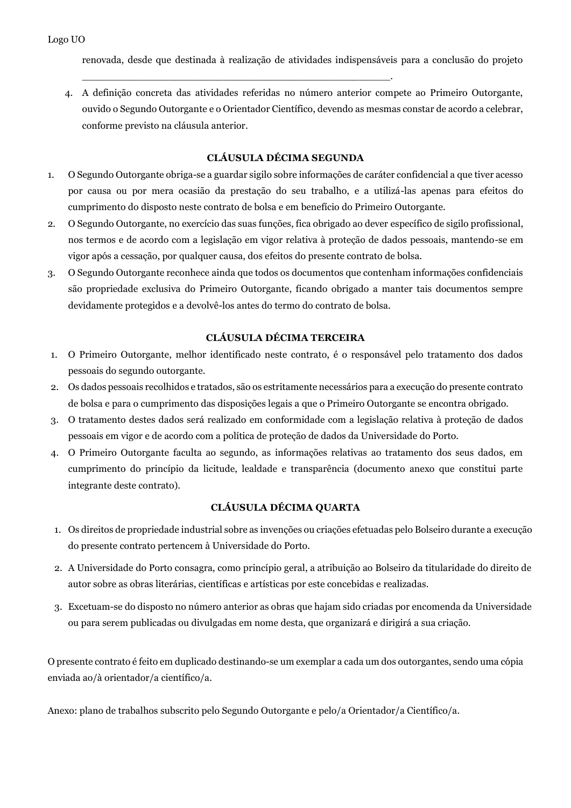renovada, desde que destinada à realização de atividades indispensáveis para a conclusão do projeto

4. A definição concreta das atividades referidas no número anterior compete ao Primeiro Outorgante, ouvido o Segundo Outorgante e o Orientador Científico, devendo as mesmas constar de acordo a celebrar, conforme previsto na cláusula anterior.

\_\_\_\_\_\_\_\_\_\_\_\_\_\_\_\_\_\_\_\_\_\_\_\_\_\_\_\_\_\_\_\_\_\_\_\_\_\_\_\_\_\_\_\_\_\_\_\_\_\_.

#### **CLÁUSULA DÉCIMA SEGUNDA**

- 1. O Segundo Outorgante obriga-se a guardar sigilo sobre informações de caráter confidencial a que tiver acesso por causa ou por mera ocasião da prestação do seu trabalho, e a utilizá-las apenas para efeitos do cumprimento do disposto neste contrato de bolsa e em benefício do Primeiro Outorgante.
- 2. O Segundo Outorgante, no exercício das suas funções, fica obrigado ao dever específico de sigilo profissional, nos termos e de acordo com a legislação em vigor relativa à proteção de dados pessoais, mantendo-se em vigor após a cessação, por qualquer causa, dos efeitos do presente contrato de bolsa.
- 3. O Segundo Outorgante reconhece ainda que todos os documentos que contenham informações confidenciais são propriedade exclusiva do Primeiro Outorgante, ficando obrigado a manter tais documentos sempre devidamente protegidos e a devolvê-los antes do termo do contrato de bolsa.

#### **CLÁUSULA DÉCIMA TERCEIRA**

- 1. O Primeiro Outorgante, melhor identificado neste contrato, é o responsável pelo tratamento dos dados pessoais do segundo outorgante.
- 2. Os dados pessoais recolhidos e tratados, são os estritamente necessários para a execução do presente contrato de bolsa e para o cumprimento das disposições legais a que o Primeiro Outorgante se encontra obrigado.
- 3. O tratamento destes dados será realizado em conformidade com a legislação relativa à proteção de dados pessoais em vigor e de acordo com a política de proteção de dados da Universidade do Porto.
- 4. O Primeiro Outorgante faculta ao segundo, as informações relativas ao tratamento dos seus dados, em cumprimento do princípio da licitude, lealdade e transparência (documento anexo que constitui parte integrante deste contrato).

#### **CLÁUSULA DÉCIMA QUARTA**

- 1. Os direitos de propriedade industrial sobre as invenções ou criações efetuadas pelo Bolseiro durante a execução do presente contrato pertencem à Universidade do Porto.
- 2. A Universidade do Porto consagra, como princípio geral, a atribuição ao Bolseiro da titularidade do direito de autor sobre as obras literárias, científicas e artísticas por este concebidas e realizadas.
- 3. Excetuam-se do disposto no número anterior as obras que hajam sido criadas por encomenda da Universidade ou para serem publicadas ou divulgadas em nome desta, que organizará e dirigirá a sua criação.

O presente contrato é feito em duplicado destinando-se um exemplar a cada um dos outorgantes, sendo uma cópia enviada ao/à orientador/a científico/a.

Anexo: plano de trabalhos subscrito pelo Segundo Outorgante e pelo/a Orientador/a Científico/a.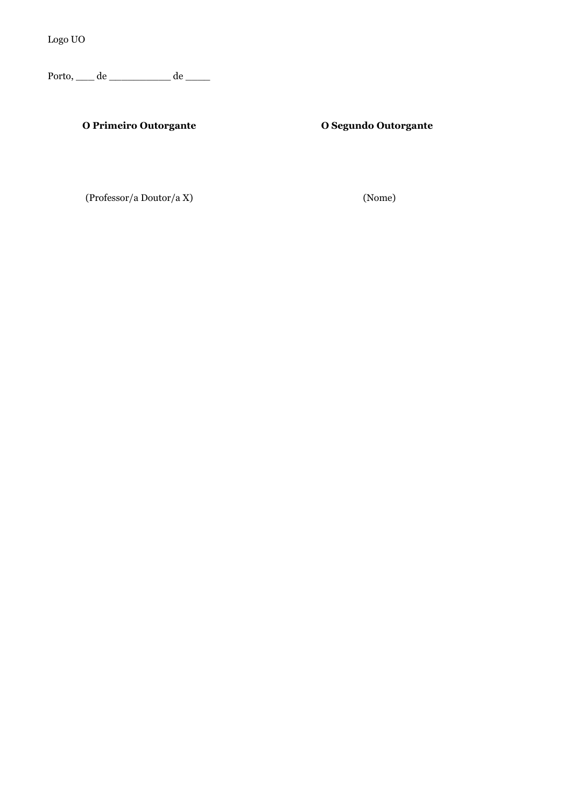Logo UO

Porto, \_\_\_ de \_\_\_\_\_\_\_\_\_\_ de \_\_\_\_

### **O Primeiro Outorgante O Segundo Outorgante**

(Professor/a Doutor/a X) (Nome)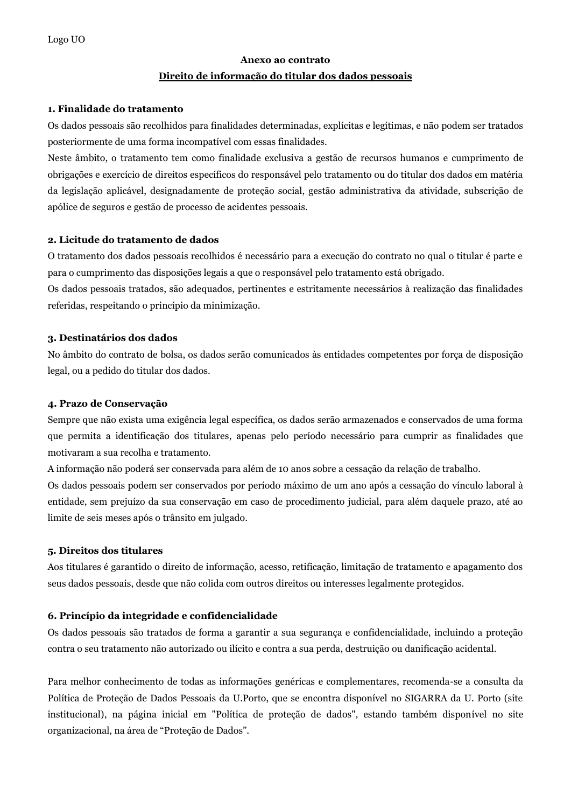# **Anexo ao contrato Direito de informação do titular dos dados pessoais**

#### **1. Finalidade do tratamento**

Os dados pessoais são recolhidos para finalidades determinadas, explícitas e legítimas, e não podem ser tratados posteriormente de uma forma incompatível com essas finalidades.

Neste âmbito, o tratamento tem como finalidade exclusiva a gestão de recursos humanos e cumprimento de obrigações e exercício de direitos específicos do responsável pelo tratamento ou do titular dos dados em matéria da legislação aplicável, designadamente de proteção social, gestão administrativa da atividade, subscrição de apólice de seguros e gestão de processo de acidentes pessoais.

#### **2. Licitude do tratamento de dados**

O tratamento dos dados pessoais recolhidos é necessário para a execução do contrato no qual o titular é parte e para o cumprimento das disposições legais a que o responsável pelo tratamento está obrigado.

Os dados pessoais tratados, são adequados, pertinentes e estritamente necessários à realização das finalidades referidas, respeitando o princípio da minimização.

#### **3. Destinatários dos dados**

No âmbito do contrato de bolsa, os dados serão comunicados às entidades competentes por força de disposição legal, ou a pedido do titular dos dados.

#### **4. Prazo de Conservação**

Sempre que não exista uma exigência legal específica, os dados serão armazenados e conservados de uma forma que permita a identificação dos titulares, apenas pelo período necessário para cumprir as finalidades que motivaram a sua recolha e tratamento.

A informação não poderá ser conservada para além de 10 anos sobre a cessação da relação de trabalho. Os dados pessoais podem ser conservados por período máximo de um ano após a cessação do vínculo laboral à entidade, sem prejuízo da sua conservação em caso de procedimento judicial, para além daquele prazo, até ao

#### **5. Direitos dos titulares**

Aos titulares é garantido o direito de informação, acesso, retificação, limitação de tratamento e apagamento dos seus dados pessoais, desde que não colida com outros direitos ou interesses legalmente protegidos.

#### **6. Princípio da integridade e confidencialidade**

limite de seis meses após o trânsito em julgado.

Os dados pessoais são tratados de forma a garantir a sua segurança e confidencialidade, incluindo a proteção contra o seu tratamento não autorizado ou ilícito e contra a sua perda, destruição ou danificação acidental.

Para melhor conhecimento de todas as informações genéricas e complementares, recomenda-se a consulta da Política de Proteção de Dados Pessoais da U.Porto, que se encontra disponível no SIGARRA da U. Porto (site institucional), na página inicial em "Política de proteção de dados", estando também disponível no site organizacional, na área de "Proteção de Dados".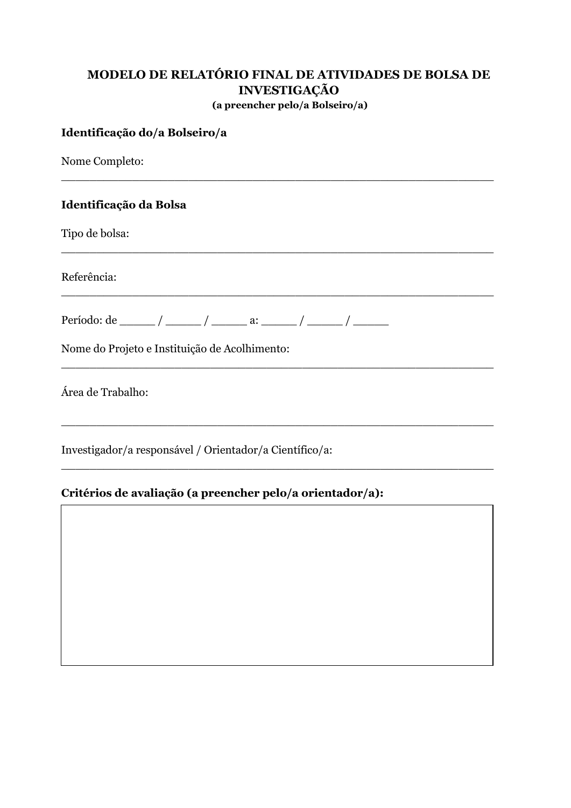## **MODELO DE RELATÓRIO FINAL DE ATIVIDADES DE BOLSA DE INVESTIGAÇÃO (a preencher pelo/a Bolseiro/a)**

 $\_$  , and the contribution of the contribution of  $\mathcal{L}_1$  , and the contribution of  $\mathcal{L}_2$  , and the contribution of  $\mathcal{L}_1$ 

 $\_$  , and the contribution of the contribution of  $\mathcal{L}_1$  , and the contribution of  $\mathcal{L}_2$  , and the contribution of  $\mathcal{L}_1$ 

 $\_$  , and the contribution of the contribution of  $\mathcal{L}_1$  , and the contribution of  $\mathcal{L}_2$  , and the contribution of  $\mathcal{L}_1$ 

 $\_$  , and the set of the set of the set of the set of the set of the set of the set of the set of the set of the set of the set of the set of the set of the set of the set of the set of the set of the set of the set of th

 $\_$  , and the contribution of the contribution of  $\mathcal{L}_1$  , and the contribution of  $\mathcal{L}_2$  , and the contribution of  $\mathcal{L}_1$ 

 $\_$  , and the contribution of the contribution of  $\mathcal{L}_1$  , and the contribution of  $\mathcal{L}_2$  , and the contribution of  $\mathcal{L}_1$ 

#### **Identificação do/a Bolseiro/a**

Nome Completo:

#### **Identificação da Bolsa**

Tipo de bolsa:

Referência:

Período: de \_\_\_\_\_\_ / \_\_\_\_\_ / \_\_\_\_\_\_ a: \_\_\_\_\_ / \_\_\_\_\_ / \_\_\_\_\_\_ /

Nome do Projeto e Instituição de Acolhimento:

Área de Trabalho:

Investigador/a responsável / Orientador/a Científico/a:

#### **Critérios de avaliação (a preencher pelo/a orientador/a):**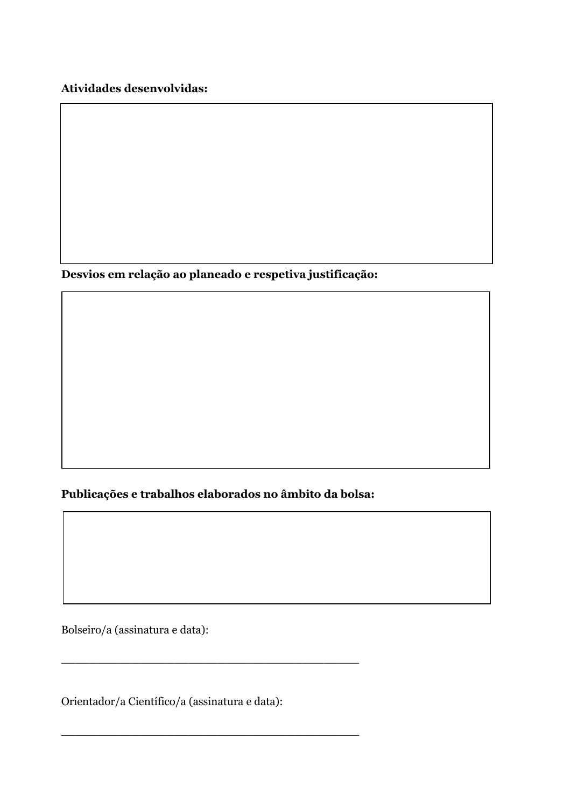**Atividades desenvolvidas:**

**Desvios em relação ao planeado e respetiva justificação:**

**Publicações e trabalhos elaborados no âmbito da bolsa:**

\_\_\_\_\_\_\_\_\_\_\_\_\_\_\_\_\_\_\_\_\_\_\_\_\_\_\_\_\_\_\_\_\_\_\_\_\_\_\_\_\_\_

\_\_\_\_\_\_\_\_\_\_\_\_\_\_\_\_\_\_\_\_\_\_\_\_\_\_\_\_\_\_\_\_\_\_\_\_\_\_\_\_\_\_

Bolseiro/a (assinatura e data):

Orientador/a Científico/a (assinatura e data):